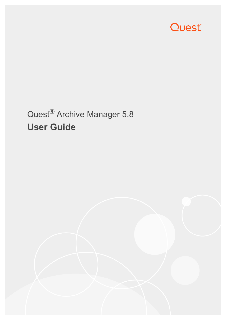

# Quest® Archive Manager 5.8 **User Guide**

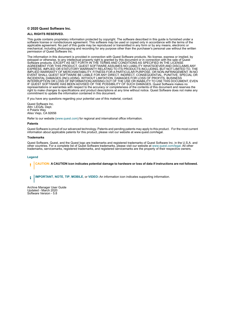#### **© 2020 Quest Software Inc.**

#### **ALL RIGHTS RESERVED.**

This guide contains proprietary information protected by copyright. The software described in this guide is furnished under a software license or nondisclosure agreement. This software may be used or copied only in accordance with the terms of the applicable agreement. No part of this guide may be reproduced or transmitted in any form or by any means, electronic or mechanical, including photocopying and recording for any purpose other than the purchaser's personal use without the written permission of Quest Software Inc.

The information in this document is provided in connection with Quest Software products. No license, express or implied, by estoppel or otherwise, to any intellectual property right is granted by this document or in connection with the sale of Quest<br>Software products. EXCEPT AS SET FORTH IN THE TERMS AND CONDITIONS AS SPECIFIED IN THE LICENSE<br>A EXPRESS, IMPLIED OR STATUTORY WARRANTY RELATING TO ITS PRODUCTS INCLUDING, BUT NOT LIMITED TO, THE IMPLIED WARRANTY OF MERCHANTABILITY, FITNESS FOR A PARTICULAR PURPOSE, OR NON-INFRINGEMENT. IN NO EVENT SHALL QUEST SOFTWARE BE LIABLE FOR ANY DIRECT, INDIRECT, CONSEQUENTIAL, PUNITIVE, SPECIAL OR INCIDENTAL DAMAGES (INCLUDING, WITHOUT LIMITATION, DAMAGES FOR LOSS OF PROFITS, BUSINESS<br>INTERRUPTION OR LOSS OF INFORMATION) ARISING OUT OF THE USE OR INABILITY TO USE THIS DOCUMENT, EVEN IF QUEST SOFTWARE HAS BEEN ADVISED OF THE POSSIBILITY OF SUCH DAMAGES. Quest Software makes no representations or warranties with respect to the accuracy or completeness of the contents of this document and reserves the right to make changes to specifications and product descriptions at any time without notice. Quest Software does not make any commitment to update the information contained in this document.

If you have any questions regarding your potential use of this material, contact:

Quest Software Inc. Attn: LEGAL Dept. 4 Polaris Way Aliso Viejo, CA 92656

Refer to our website [\(www.quest.com](http://www.quest.com)) for regional and international office information.

#### **Patents**

Quest Software is proud of our advanced technology. Patents and pending patents may apply to this product. For the most current information about applicable patents for this product, please visit our website at www.quest.com/legal.

#### **Trademarks**

Quest Software, Quest, and the Quest logo are trademarks and registered trademarks of Quest Software Inc. in the U.S.A. and other countries. For a complete list of Quest Software trademarks, please visit our website at [www.quest.com/legal](http://www.quest.com/legal). All other trademarks, servicemarks, registered trademarks, and registered servicemarks are the property of their respective owners.

#### **Legend**

**CAUTION: A CAUTION icon indicates potential damage to hardware or loss of data if instructions are not followed.** ţ

**IMPORTANT**, **NOTE**, **TIP**, **MOBILE**, or **VIDEO:** An information icon indicates supporting information.i

Archive Manager User Guide Updated - March 2020 Software Version - 5.8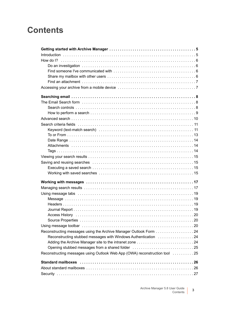## **Contents**

| Reconstructing messages using the Archive Manager Outlook Form 24          |  |
|----------------------------------------------------------------------------|--|
| Reconstructing stubbed messages with Windows Authentication 24             |  |
|                                                                            |  |
| Opening stubbed messages from a shared folder 25                           |  |
| Reconstructing messages using Outlook Web App (OWA) reconstruction tool 25 |  |
|                                                                            |  |
|                                                                            |  |
|                                                                            |  |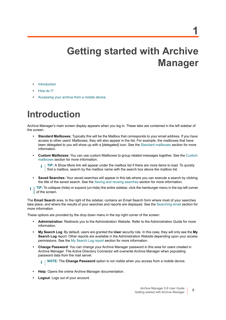# **Getting started with Archive Manager**

- <span id="page-4-0"></span>**•** [Introduction](#page-4-1)
- **•** [How do I?](#page-5-0)
- **•** [Accessing your archive from a mobile device](#page-6-1)

# <span id="page-4-1"></span>**Introduction**

Archive Manager's main screen display appears when you log in. These tabs are contained in the left sidebar of the screen:

- **Standard Mailboxes:** Typically this will be the Mailbox that corresponds to your email address. If you have access to other users' Mailboxes, they will also appear in the list. For example, the mailboxes that have been delegated to you will show up with a [delegated] icon. See the [Standard mailboxes](#page-25-2) section for more information.
- **Custom Mailboxes:** You can use custom Mailboxes to group related messages together. See the [Custom](#page-27-4)  [mailboxes](#page-27-4) section for more information.
	- **TIP:** A Show More link will appear under the mailbox list if there are more items to load. To quickly i find a mailbox, search by the mailbox name with the search box above the mailbox list.
- **Saved Searches:** Your saved searches will appear in this tab where you can execute a search by clicking the title of the saved search. See the [Saving and reusing searches](#page-14-4) section for more information.
- **TIP:** To collapse (hide) or expand (un-hide) the entire sidebar, click the hamburger menu in the top left corner i of the screen.

The **Email Search** area, to the right of the sidebar, contains an Email Search form where most of your searches take place, and where the results of your searches and reports are displayed. See the [Searching email](#page-7-3) section for more information.

These options are provided by the drop down menu in the top right corner of the screen:

- **Administration**: Redirects you to the Administration Website. Refer to the Administration Guide for more information.
- **My Search Log**: By default, users are granted the **User** security role. In this case, they will only see the **My Search Log** report. Other reports are available in the Administration Website depending upon your access permissions. See the [My Search Log report](#page-29-1) section for more information.
- **Change Password**: You can change your Archive Manager password in this area for users created in Archive Manager. The Active Directory Connector will overwrite Archive Manager when populating password data from the mail server.

**NOTE:** The **Change Password** option is not visible when you access from a mobile device.i I

- **Help**: Opens the online Archive Manager documentation.
- **Logout**: Logs out of your account.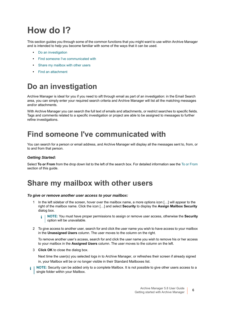# <span id="page-5-0"></span>**How do I?**

This section guides you through some of the common functions that you might want to use within Archive Manager and is intended to help you become familiar with some of the ways that it can be used.

- **•** [Do an investigation](#page-5-1)
- **•** [Find someone I've communicated with](#page-5-2)
- **•** [Share my mailbox with other users](#page-5-3)
- **•** [Find an attachment](#page-6-0)

## <span id="page-5-1"></span>**Do an investigation**

Archive Manager is ideal for you if you need to sift through email as part of an investigation: in the Email Search area, you can simply enter your required search criteria and Archive Manager will list all the matching messages and/or attachments.

With Archive Manager you can search the full text of emails and attachments, or restrict searches to specific fields. Tags and comments related to a specific investigation or project are able to be assigned to messages to further refine investigations.

## <span id="page-5-2"></span>**Find someone I've communicated with**

You can search for a person or email address, and Archive Manager will display all the messages sent to, from, or to and from that person.

### *Getting Started:*

Select **To or From** from the drop down list to the left of the search box. For detailed information see the [To or From](#page-12-1) section of this guide.

### <span id="page-5-4"></span><span id="page-5-3"></span>**Share my mailbox with other users**

#### *To give or remove another user access to your mailbox:*

In the left sidebar of the screen, hover over the mailbox name, a more options icon [...] will appear to the right of the mailbox name. Click the icon […] and select **Security** to display the **Assign Mailbox Security** dialog box.

**NOTE:** You must have proper permissions to assign or remove user access, otherwise the **Security** ÷ option will be unavailable.

2 To give access to another user, search for and click the user name you wish to have access to your mailbox in the **Unassigned Users** column. The user moves to the column on the right.

To remove another user's access, search for and click the user name you wish to remove his or her access to your mailbox in the **Assigned Users** column. The user moves to the column on the left.

3 **Click OK** to close the dialog box.

Next time the user(s) you selected logs in to Archive Manager, or refreshes their screen if already signed in, your Mailbox will be or no longer visible in their Standard Mailboxes list.

**NOTE:** Security can be added only to a complete Mailbox. It is not possible to give other users access to a single folder within your Mailbox.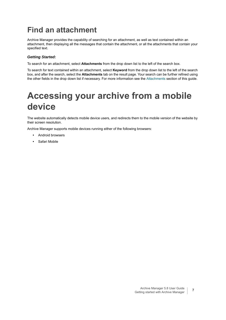## <span id="page-6-0"></span>**Find an attachment**

Archive Manager provides the capability of searching for an attachment, as well as text contained within an attachment, then displaying all the messages that contain the attachment, or all the attachments that contain your specified text.

### *Getting Started:*

To search for an attachment, select **Attachments** from the drop down list to the left of the search box.

To search for text contained within an attachment, select **Keyword** from the drop down list to the left of the search box, and after the search, select the **Attachments** tab on the result page. Your search can be further refined using the other fields in the drop down list if necessary. For more information see the [Attachments](#page-13-3) section of this guide.

# <span id="page-6-1"></span>**Accessing your archive from a mobile device**

The website automatically detects mobile device users, and redirects them to the mobile version of the website by their screen resolution.

Archive Manager supports mobile devices running either of the following browsers:

- **•** Android browsers
- **•** Safari Mobile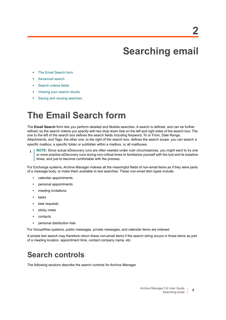# <span id="page-7-3"></span>**Searching email**

- <span id="page-7-0"></span>**•** [The Email Search form](#page-7-1)
- **•** [Advanced search](#page-9-0)
- **•** [Search criteria fields](#page-10-0)
- **•** [Viewing your search results](#page-14-0)
- **•** [Saving and reusing searches](#page-14-1)

# <span id="page-7-1"></span>**The Email Search form**

The **Email Search** form lets you perform detailed and flexible searches. A search is defined, and can be further refined, by the search criteria you specify with two drop down lists on the left and right sides of the search box: The one to the left of the search box defines the search fields including Keyword, To or From, Date Range, Attachments, and Tags; the other one, to the right of the search box, defines the search scope: you can search a specific mailbox, a specific folder or subfolder within a mailbox, or all mailboxes.

**NOTE:** Since actual eDiscovery runs are often needed under rush circumstances, you might want to try one ÷. or more practice eDiscovery runs during non-critical times to familiarize yourself with the tool and its baseline times, and just to become comfortable with the process.

For Exchange systems, Archive Manager indexes all the meaningful fields of non-email items as if they were parts of a message body, to make them available to text searches. These non-email item types include:

- **•** calendar appointments
- **•** personal appointments
- **•** meeting invitations
- **•** tasks
- **•** task requests
- **•** sticky notes
- **•** contacts
- **•** personal distribution lists

For GroupWise systems, public messages, private messages, and calendar items are indexed.

A simple text search may therefore return these non-email items if the search string occurs in those items as part of a meeting location, appointment time, contact company name, etc.

## <span id="page-7-2"></span>**Search controls**

The following sections describe the search controls for Archive Manager.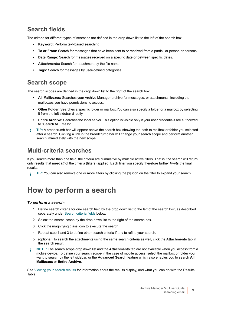### **Search fields**

The criteria for different types of searches are defined in the drop down list to the left of the search box:

- **Keyword:** Perform text-based searching.
- **To or From:** Search for messages that have been sent to or received from a particular person or persons.
- **Date Range:** Search for messages received on a specific date or between specific dates.
- **Attachments:** Search for attachment by the file name.
- **Tags:** Search for messages by user-defined categories.

### <span id="page-8-1"></span>**Search scope**

The search scopes are defined in the drop down list to the right of the search box:

- **All Mailboxes:** Searches your Archive Manager archive for messages, or attachments, including the mailboxes you have permissions to access.
- **Other Folder**: Searches a specific folder or mailbox.You can also specify a folder or a mailbox by selecting it from the left sidebar directly.
- **Entire Archive:** Searches the local server. This option is visible only if your user credentials are authorized to "Search All Emails".
- **TIP:** A breadcrumb bar will appear above the search box showing the path to mailbox or folder you selected ÷ after a search. Clicking a link in the breadcrumb bar will change your search scope and perform another search immediately with the new scope.

### **Multi-criteria searches**

If you search more than one field, the criteria are cumulative by multiple active filters. That is, the search will return only results that meet *all* of the criteria (filters) applied. Each filter you specify therefore further *limits* the final results.

**TIP:** You can also remove one or more filters by clicking the [**x**] icon on the filter to expand your search.

## <span id="page-8-0"></span>**How to perform a search**

### *To perform a search:*

- 1 Define search criteria for one search field by the drop down list to the left of the search box, as described separately under [Search criteria fields](#page-10-0) below.
- 2 Select the search scope by the drop down list to the right of the search box.
- 3 Click the magnifying glass icon to execute the search.
- 4 Repeat step 1 and 3 to define other search criteria if any to refine your search.
- 5 (optional) To search the attachments using the same search criteria as well, click the **Attachments** tab in the search result.
- **NOTE:** The search scope drop down list and the **Attachments** tab are not available when you access from a ÷ mobile device. To define your search scope in the case of mobile access, select the mailbox or folder you want to search by the left sidebar, or the **Advanced Search** feature which also enables you to search **All Mailboxes** or **Entire Archive**.

See [Viewing your search results](#page-14-0) for information about the results display, and what you can do with the Results Table.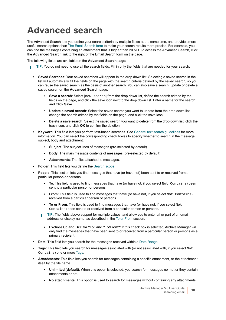# <span id="page-9-0"></span>**Advanced search**

The Advanced Search lets you define your search criteria by multiple fields at the same time, and provides more useful search options than [The Email Search form](#page-7-1) to make your search results more precise. For example, you can find the messages containing an attachment that is bigger than 20 MB. To access the Advanced Search, click the **Advanced Search** link to the right of the Email Search form on the page.

The following fields are available on the **Advanced Search** page:

- **TIP:** You do not need to use all the search fields. Fill in only the fields that are needed for your search. i l
	- **Saved Searches**: Your saved searches will appear in the drop down list. Selecting a saved search in the list will automatically fill the fields on the page with the search criteria defined by the saved search, so you can reuse the saved search as the basis of another search. You can also save a search, update or delete a saved search on the **Advanced Search** page:
		- **Save a search:** Select [new search] from the drop down list, define the search criteria by the fields on the page, and click the save icon next to the drop down list. Enter a name for the search and Click **Save**.
		- **Update a saved search**: Select the saved search you want to update from the drop down list, change the search criteria by the fields on the page, and click the save icon.
		- **Delete a save search**: Select the saved search you want to delete from the drop down list, click the trash icon, and click **OK** to confirm the deletion.
	- **Keyword**: This field lets you perform text-based searches. See [General text search guidelines](#page-11-0) for more information. You can select the corresponding check boxes to specify whether to search in the message subject, body and attachment:
		- **Subject:** The subject lines of messages (pre-selected by default).
		- **Body:** The main message contents of messages (pre-selected by default).
		- Attachments: The files attached to messages.
	- **Folder**: This field lets you define the [Search scope.](#page-8-1)
	- **People**: This section lets you find messages that have (or have not) been sent to or received from a particular person or persons.
		- **To**: This field is used to find messages that have (or have not, if you select Not Contains) been sent to a particular person or persons.
		- **From:** This field is used to find messages that have (or have not, if you select Not Contains) received from a particular person or persons.
		- **To or From:** This field is used to find messages that have (or have not, if you select Not Contains) been sent to or received from a particular person or persons.
		- **TIP:** The fields above support for multiple values, and allow you to enter all or part of an email address or display name, as described in the [To or From](#page-12-0) section.
			- **Exclude Cc and Bcc for "To" and "To/From"**: If this check box is selected, Archive Manager will only find the messages that have been sent to or received from a particular person or persons as a primary recipient.
	- **Date**: This field lets you search for the messages received within a [Date Range](#page-13-0).
	- **Tags**: This field lets you search for messages associated with (or not associated with, if you select Not Contains) one or more [Tags](#page-13-2).
	- **Attachments**: This field lets you search for messages containing a specific attachment, or the attachment itself by the file name.
		- **Unlimited (default)**: When this option is selected, you search for messages no matter they contain attachments or not.
		- **No attachments:** This option is used to search for messages without containing any attachments.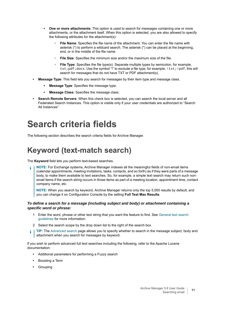- **One or more attachments**: This option is used to search for messages containing one or more attachments, or the attachment itself. When this option is selected, you are also allowed to specify the following attributes for the attachment(s):
	- **File Name**: Specifies the file name of the attachment. You can enter the file name with asterisk (\*) to perform a wildcard search. The asterisk (\*) can be placed at the beginning, end, or in the middle of the file name.
	- **File Size**: Specifies the minimum size and/or the maximum size of the file.
	- **□ File Type**: Specifies the file type(s). Separate multiple types by semicolon, for example, txt; pdf;  $docx$ . Use the symbol "!" to exclude a file type, for example,  $!txt;!pdf, this will$ search for messages that do not have TXT or PDF attachment(s).
- **Message Type**: This field lets you search for messages by their item type and message class.
	- **Message Type**: Specifies the message type.
	- **Message Class**: Specifies the message class.
- **Search Remote Servers**: When this check box is selected, you can search the local server and all Federated Search Instances. This option is visible only if your user credentials are authorized to "Search All Instances".

## <span id="page-10-0"></span>**Search criteria fields**

The following section describes the search criteria fields for Archive Manager.

## <span id="page-10-1"></span>**Keyword (text-match search)**

The **Keyword** field lets you perform text-based searches.

**NOTE:** For Exchange systems, Archive Manager indexes all the meaningful fields of non-email items ÷. (calendar appointments, meeting invitations, tasks, contacts, and so forth) as if they were parts of a message body, to make them available to text searches. So, for example, a simple text search may return such nonemail items if the search string occurs in those items as part of a meeting location, appointment time, contact company name, etc.

**NOTE:** When you search by keyword, Archive Manager returns only the top 5,000 results by default, and you can change it on Configuration Console by the setting **Full Text Max Results**.

### *To define a search for a message (including subject and body) or attachment containing a specific word or phrase:*

- 1 Enter the word, phrase or other text string that you want the feature to find. See [General text search](#page-11-0)  [guidelines](#page-11-0) for more information.
- 2 Select the search scope by the drop down list to the right of the search box.
- **TIP:** The [Advanced search](#page-9-0) page allows you to specify whether to search in the message subject, body and ÷ attachment when you search for messages by keyword.

If you wish to perform advanced full text searches including the following, refer to the Apache Lucene documentation:

- **•** Additional parameters for performing a Fuzzy search
- **•** Boosting a Term
- **•** Grouping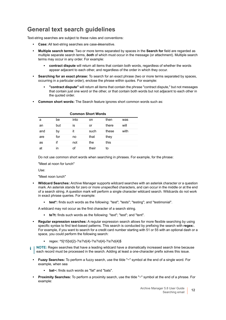### <span id="page-11-0"></span>**General text search guidelines**

Text-string searches are subject to these rules and conventions:

- **Case:** All text-string searches are case-*in*sensitive.
- **Multiple search terms:** Two or more terms separated by spaces in the **Search for** field are regarded as multiple separate search terms, *both* of which must occur in the message (or attachment). Multiple search terms may occur in any order. For example:
	- **contract dispute** will return all items that contain both words, regardless of whether the words appear adjacent to each other, and regardless of the order in which they occur.
- **Searching for an exact phrase:** To search for an exact phrase (two or more terms separated by spaces, occurring in a particular order), enclose the phrase within quotes. For example:
	- **"contract dispute"** will return all items that contain the phrase "contract dispute," but not messages that contain just one word or the other, or that contain both words but not adjacent to each other in the quoted order.
- **Common short words:** The Search feature ignores short common words such as:

| <b>Common Short Words</b> |     |      |       |       |      |  |  |
|---------------------------|-----|------|-------|-------|------|--|--|
| a                         | be  | into | on    | then  | was  |  |  |
| an                        | but | İS   | or    | there | will |  |  |
| and                       | by  | it   | such  | these | with |  |  |
| are                       | for | no   | that  | they  |      |  |  |
| as                        | if  | not  | the   | this  |      |  |  |
| at                        | ın  | of   | their | to    |      |  |  |

Do not use common short words when searching in phrases. For example, for the phrase:

"Meet at noon for lunch"

Use:

"Meet noon lunch"

- **Wildcard Searches:** Archive Manager supports wildcard searches with an asterisk character or a question mark. An asterisk stands for zero or more unspecified characters, and can occur in the middle or at the end of a search string. A question mark will perform a single character wildcard search. Wildcards do not work in exact phrase queries. For example:
	- **test\*:** finds such words as the following: "test"; "tests"; "testing"; and "testimonial".

A wildcard may not occur as the first character of a search string.

- **te?t:** finds such words as the following: "text"; "test"; and "tent".
- **Regular expression searches:** A regular expression search allows for more flexible searching by using specific syntax to find text-based patterns. This search is conducted by prefixing the search with **regex:**. For example, if you want to search for a credit card number starting with 51 or 55 with an optional dash or a space, you could perform the following search:
	- **▪** regex: ^5[15]\d{2}-?\s?\d{4}-?\s?\d{4}-?\s?\d{4}\$
- **NOTE:** Regex searches that have a leading wildcard have a dramatically increased search time because ÷ each record must be processed in the search. Adding at least a one-character prefix solves this issue.
	- **Fuzzy Searches:** To perform a fuzzy search, use the tilde "~" symbol at the end of a single word. For example, when sea
		- **bat~:** finds such words as "fat" and "bats".
	- **Proximity Searches:** To perform a proximity search, use the tilde "~" symbol at the end of a phrase. For example: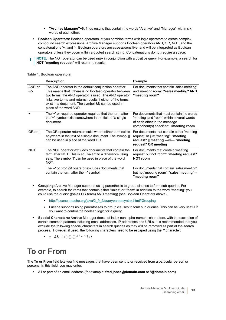- **"Archive Manager"~6:** finds results that contain the words "Archive" and "Manager" within six words of each other.
- **Boolean Operators:** Boolean operators let you combine terms with logic operators to create complex, compound search expressions. Archive Manager supports Boolean operators AND, OR, NOT, and the concatenations '+', and '-'. Boolean operators are case-*in*sensitive, and will be interpreted as Boolean operators unless they occur within a quoted search string. Concatenations do not require a space:
- **NOTE:** The NOT operator can be used *only* in conjunction with a positive query. For example, a search for **NOT "meeting request"** will return no results.

|  | <b>Table 1. Boolean operators</b> |
|--|-----------------------------------|
|  |                                   |

|              | <b>Description</b>                                                                                                                                                                                                                                                                                                     | <b>Example</b>                                                                                                                                                  |
|--------------|------------------------------------------------------------------------------------------------------------------------------------------------------------------------------------------------------------------------------------------------------------------------------------------------------------------------|-----------------------------------------------------------------------------------------------------------------------------------------------------------------|
| AND or<br>&& | The AND operator is the default conjunction operator.<br>This means that if there is no Boolean operator between<br>two terms, the AND operator is used. The AND operator<br>links two terms and returns results if either of the terms<br>exist in a document. The symbol && can be used in<br>place of the word AND. | For documents that contain 'sales meeting'<br>and 'meeting room': "sales meeting" AND<br>"meeting room"                                                         |
| +            | The '+' or required operator requires that the term after<br>the '+' symbol exist somewhere in the field of a single<br>document.                                                                                                                                                                                      | For documents that must contain the words<br>'meeting' and 'room' within several words<br>of each other in the message<br>component(s) specified: +meeting room |
| OR or $  $   | The OR operator returns results where either term exists<br>anywhere in the text of a single document. The symbol   <br>can be used in place of the word OR.                                                                                                                                                           | For documents that contain either 'meeting<br>request' or just 'meeting': "meeting<br>request"    meeting -or- "meeting<br>request" OR meeting                  |
| <b>NOT</b>   | The NOT operator excludes documents that contain the<br>term after NOT. This is equivalent to a difference using<br>sets. The symbol '!' can be used in place of the word<br>NOT.                                                                                                                                      | For documents that contain 'meeting<br>request' but not 'room': "meeting request"<br><b>NOT room</b>                                                            |
|              | The '-' or <i>prohibit</i> operator excludes documents that<br>contain the term after the '-' symbol.                                                                                                                                                                                                                  | For documents that contain 'sales meeting'<br>but not 'meeting room': "sales meeting" -<br>"meeting room"                                                       |

- **Grouping:** Archive Manager supports using parenthesis to group clauses to form sub-queries. For example, to search for items that contain either "sales" or "team" in addition to the word "meeting" you could use the query: ((sales OR team) AND meeting) (see Boolean Operators above).
	- **▪** http://lucene.apache.org/java/2\_9\_2/queryparsersyntax.html#Grouping
	- **▪** Lucene supports using parentheses to group clauses to form sub queries. This can be very useful if you want to control the boolean logic for a query.
- **Special Characters:** Archive Manager does not index non alpha-numeric characters, with the exception of certain common patterns including email addresses, IP addresses and URLs. It is recommended that you exclude the following special characters in search queries as they will be removed as part of the search process. However, if used, the following characters need to be escaped using the '\' character:
	- $\bullet$  + && || ! ( ) { } [ ] ^ " ~ \* ? : \

## <span id="page-12-1"></span><span id="page-12-0"></span>**To or From**

The **To or From** field lets you find messages that have been sent to or received from a particular person or persons. In this field, you may enter:

**•** All or part of an email address (for example: **fred.jones@domain.com** or **\*@domain.com**).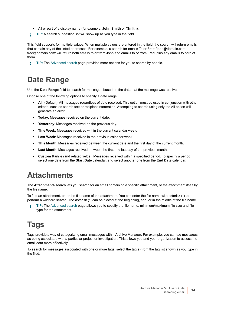- **•** All or part of a display name (for example: **John Smith** or **\*Smith**).
- **TIP:** A search suggestion list will show up as you type in the field.

This field supports for multiple values. When multiple values are entered in the field, the search will return emails that contain any of the listed addresses. For example, a search for emails To or From 'john@domain.com; fred@domain.com' will return both emails to or from John and emails to or from Fred, plus any emails to both of them.

**TIP:** The [Advanced search](#page-9-0) page provides more options for you to search by people. i I

## <span id="page-13-0"></span>**Date Range**

Use the **Date Range** field to search for messages based on the date that the message was received.

Choose one of the following options to specify a date range:

- **All**: (Default): All messages regardless of date received. This option must be used in conjunction with other criteria, such as search text or recipient information. Attempting to search using only the All option will generate an error.
- **Today**: Messages received on the current date.
- **Yesterday**: Messages received on the previous day.
- **This Week**: Messages received within the current calendar week.
- **Last Week**: Messages received in the previous calendar week.
- **This Month**: Messages received between the current date and the first day of the current month.
- **Last Month**: Messages received between the first and last day of the previous month.
- **Custom Range** (and related fields): Messages received within a specified period. To specify a period, select one date from the **Start Date** calendar, and select another one from the **End Date** calendar.

## <span id="page-13-3"></span><span id="page-13-1"></span>**Attachments**

The **Attachments** search lets you search for an email containing a specific attachment, or the attachment itself by the file name.

To find an attachment, enter the file name of the attachment. You can enter the file name with asterisk (\*) to perform a wildcard search. The asterisk (\*) can be placed at the beginning, end, or in the middle of the file name.

**TIP:** The [Advanced search](#page-9-0) page allows you to specify the file name, minimum/maximum file size and file ÷ type for the attachment.

## <span id="page-13-2"></span>**Tags**

Tags provide a way of categorizing email messages within Archive Manager. For example, you can tag messages as being associated with a particular project or investigation. This allows you and your organization to access the email data more effectively.

To search for messages associated with one or more tags, select the tag(s) from the tag list shown as you type in the filed.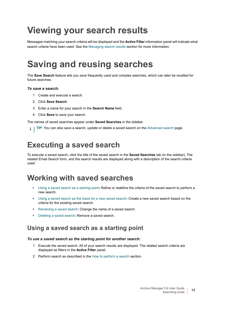# <span id="page-14-0"></span>**Viewing your search results**

Messages matching your search criteria will be displayed and the **Active Filter** information panel will indicate what search criteria have been used. See the [Managing search results](#page-16-2) section for more information.

# <span id="page-14-4"></span><span id="page-14-1"></span>**Saving and reusing searches**

The **Save Search** feature lets you save frequently used and complex searches, which can later be recalled for future searches.

### *To save a search:*

- 1 Create and execute a search.
- 2 Click **Save Search**.
- 3 Enter a name for your search in the **Search Name** field.
- 4 Click **Save** to save your search.

The names of saved searches appear under **Saved Searches** in the sidebar.

**TIP:** You can also save a search, update or delete a saved search on the [Advanced search](#page-9-0) page.i.

## <span id="page-14-2"></span>**Executing a saved search**

To execute a saved search, click the title of the saved search in the **Saved Searches** tab (in the sidebar). The related Email Search form, and the search results are displayed along with a description of the search criteria used.

## <span id="page-14-3"></span>**Working with saved searches**

- **•** [Using a saved search as a starting point](#page-14-5)**:** Refine or redefine the criteria of the saved search to perform a new search.
- **•** [Using a saved search as the basis for a new saved search](#page-15-0)**:** Create a new saved search based on the criteria for the existing saved search.
- **•** [Renaming a saved search](#page-15-1): Change the name of a saved search.
- **•** [Deleting a saved search](#page-15-2)**:** Remove a saved search.

### <span id="page-14-5"></span>**Using a saved search as a starting point**

### *To use a saved search as the starting point for another search:*

- 1 Execute the saved search. All of your search results are displayed. The related search criteria are displayed as filters in the **Active Filter** panel.
- 2 Perform search as described in the [How to perform a search](#page-8-0) section.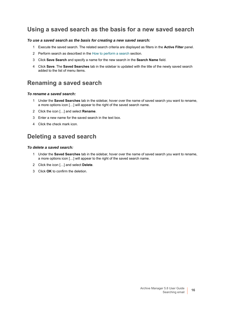### <span id="page-15-0"></span>**Using a saved search as the basis for a new saved search**

### *To use a saved search as the basis for creating a new saved search:*

- 1 Execute the saved search. The related search criteria are displayed as filters in the **Active Filter** panel.
- 2 Perform search as described in the [How to perform a search](#page-8-0) section.
- 3 Click **Save Search** and specify a name for the new search in the **Search Name** field.
- 4 Click **Save**. The **Saved Searches** tab in the sidebar is updated with the title of the newly saved search added to the list of menu items.

### <span id="page-15-1"></span>**Renaming a saved search**

#### *To rename a saved search:*

- 1 Under the **Saved Searches** tab in the sidebar, hover over the name of saved search you want to rename, a more options icon […] will appear to the right of the saved search name.
- 2 Click the icon […] and select **Rename**.
- 3 Enter a new name for the saved search in the text box.
- 4 Click the check mark icon.

### <span id="page-15-2"></span>**Deleting a saved search**

### *To delete a saved search:*

- 1 Under the **Saved Searches** tab in the sidebar, hover over the name of saved search you want to rename, a more options icon […] will appear to the right of the saved search name.
- 2 Click the icon […] and select **Delete**.
- 3 Click **OK** to confirm the deletion.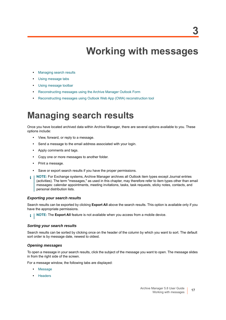# **Working with messages**

- <span id="page-16-0"></span>**•** [Managing search results](#page-16-1)
- **•** [Using message tabs](#page-18-0)
- **•** [Using message toolbar](#page-19-2)
- **•** [Reconstructing messages using the Archive Manager Outlook Form](#page-23-0)
- **•** [Reconstructing messages using Outlook Web App \(OWA\) reconstruction tool](#page-24-1)

## <span id="page-16-2"></span><span id="page-16-1"></span>**Managing search results**

Once you have located archived data within Archive Manager, there are several options available to you. These options include:

- **•** View, forward, or reply to a message.
- **•** Send a message to the email address associated with your login.
- **•** Apply comments and tags.
- **•** Copy one or more messages to another folder.
- **•** Print a message.
- **•** Save or export search results if you have the proper permissions.
- **NOTE:** For Exchange systems, Archive Manager archives all Outlook item types except Journal entries i (activities). The term "messages," as used in this chapter, may therefore refer to item types other than email messages: calendar appointments, meeting invitations, tasks, task requests, sticky notes, contacts, and personal distribution lists.

### *Exporting your search results*

Search results can be exported by clicking **Export All** above the search results. This option is available only if you have the appropriate permissions.

**i** | NOTE: The Export All feature is not available when you access from a mobile device.

### *Sorting your search results*

Search results can be sorted by clicking once on the header of the column by which you want to sort. The default sort order is by message date, newest to oldest.

### *Opening messages*

To open a message in your search results, click the subject of the message you want to open. The message slides in from the right side of the screen.

For a message window, the following tabs are displayed:

- **•** [Message](#page-18-1)
- **•** [Headers](#page-18-2)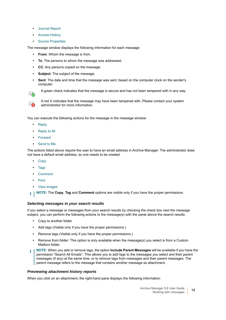- **•** [Journal Report](#page-18-3)
- **•** [Access History](#page-19-0)
- **•** [Source Properties](#page-19-1)

The message window displays the following information for each message:

- **From**: Whom the message is from.
- **To**: The persons to whom the message was addressed.
- **CC**: Any persons copied on the message.
- **Subject**: The subject of the message.
- **Sent**: The date and time that the message was sent, based on the computer clock on the sender's computer.

⋙

A green check indicates that the message is secure and has not been tampered with in any way.



A red X indicates that the message may have been tampered with. Please contact your system administrator for more information.

You can execute the following actions for the message in the message window:

- **•** [Reply](#page-20-0)
- **•** [Reply to All](#page-20-1)
- **•** [Forward](#page-21-0)
- **•** [Send to Me](#page-21-1)

The actions listed above require the user to have an email address in Archive Manager. The administrator does not have a default email address, so one needs to be created.

- **•** [Copy](#page-22-0)
- **•** [Tags](#page-22-1)
- **•** [Comment](#page-22-2)
- **•** [Print](#page-23-3)
- **•** [View Images](#page-22-3)
- **NOTE:** The **Copy**, **Tag** and **Comment** options are visible only if you have the proper permissions. i l

### *Selecting messages in your search results*

If you select a message or messages from your search results by checking the check box next the message subject, you can perform the following actions to the message(s) with the panel above the search results:

- **•** Copy to another folder
- **•** Add tags (Visible only if you have the proper permissions.)
- **•** Remove tags (Visible only if you have the proper permissions.)
- **•** Remove from folder: This option is only available when the message(s) you select is from a Custom Mailbox folder.
- **NOTE:** When you add or remove tags, the option **Include Parent Messages** will be available if you have the i I permission "Search All Emails". This allows you to add tags to the messages you select and their parent messages (if any) at the same time, or to remove tags from messages and their parent messages. The parent message refers to the message that contains another message as attachment.

#### *Previewing attachment history reports*

When you click on an attachment, the right-hand pane displays the following information: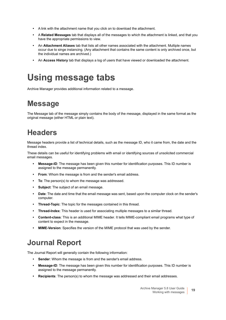- **•** A link with the attachment name that you click on to download the attachment.
- **•** A **Related Messages** tab that displays all of the messages to which the attachment is linked, and that you have the appropriate permissions to view.
- **•** An **Attachment Aliases** tab that lists all other names associated with the attachment. Multiple names occur due to singe instancing. (Any attachment that contains the same content is only archived once, but the individual names are archived.)
- **•** An **Access History** tab that displays a log of users that have viewed or downloaded the attachment.

# <span id="page-18-0"></span>**Using message tabs**

Archive Manager provides additional information related to a message.

## <span id="page-18-1"></span>**Message**

The Message tab of the message simply contains the body of the message, displayed in the same format as the original message (either HTML or plain text).

## <span id="page-18-2"></span>**Headers**

Message headers provide a list of technical details, such as the message ID, who it came from, the date and the thread index.

These details can be useful for identifying problems with email or identifying sources of unsolicited commercial email messages.

- **Message-ID**: The message has been given this number for identification purposes. This ID number is assigned to the message permanently.
- **From**: Whom the message is from and the sender's email address.
- **To**: The person(s) to whom the message was addressed.
- **Subject**: The subject of an email message.
- **Date**: The date and time that the email message was sent, based upon the computer clock on the sender's computer.
- **Thread-Topic**: The topic for the messages contained in this thread.
- **Thread-Index**: This header is used for associating multiple messages to a similar thread.
- **Content-class**: This is an additional MIME header. It tells MIME-compliant email programs what type of content to expect in the message.
- **MIME-Version**: Specifies the version of the MIME protocol that was used by the sender.

## <span id="page-18-3"></span>**Journal Report**

The Journal Report will generally contain the following information:

- **Sender:** Whom the message is from and the sender's email address.
- **Message-ID**: The message has been given this number for identification purposes. This ID number is assigned to the message permanently.
- **Recipients**: The person(s) to whom the message was addressed and their email addresses.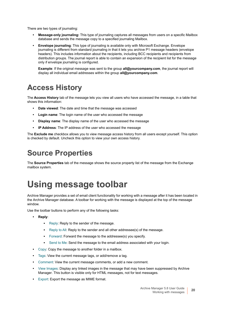There are two types of journaling:

- **Message-only journaling:** This type of journaling captures all messages from users on a specific Mailbox database and sends the message copy to a specified journaling Mailbox.
- **Envelope journaling**: This type of journaling is available only with Microsoft Exchange. Envelope journaling is different from standard journaling in that it lets you archive P1 message headers (envelope headers). This includes information about the recipients, including BCC recipients and recipients from distribution groups. The journal report is able to contain an expansion of the recipient list for the message only if envelope journaling is configured.

**Example**: If the original message was sent to the group **all@yourcompany.com**, the journal report will display all individual email addresses within the group **all@yourcompany.com**.

## <span id="page-19-0"></span>**Access History**

The **Access History** tab of the message lets you view all users who have accessed the message, in a table that shows this information:

- **Date viewed**: The date and time that the message was accessed
- **Login name**: The login name of the user who accessed the message
- **Display name**: The display name of the user who accessed the message
- **IP Address**: The IP address of the user who accessed the message

The **Exclude me** checkbox allows you to view message access history from all users except yourself. This option is checked by default. Uncheck this option to view your own access history.

## <span id="page-19-1"></span>**Source Properties**

The **Source Properties** tab of the message shows the source property list of the message from the Exchange mailbox system.

# <span id="page-19-2"></span>**Using message toolbar**

Archive Manager provides a set of email client functionality for working with a message after it has been located in the Archive Manager database. A toolbar for working with the message is displayed at the top of the message window.

Use the toolbar buttons to perform any of the following tasks:

- **Reply**:
	- **▪** [Reply:](#page-20-0) Reply to the sender of the message.
	- **▪** [Reply to All:](#page-20-1) Reply to the sender and all other addressee(s) of the message.
	- **▪** [Forward:](#page-21-0) Forward the message to the addressee(s) you specify.
	- **•** [Send to Me:](#page-21-1) Send the message to the email address associated with your login.
- **•** [Copy:](#page-22-0) Copy the message to another folder in a mailbox.
- **•** [Tags:](#page-22-1) View the current message tags, or add/remove a tag.
- **•** [Comment:](#page-22-2) View the current message comments, or add a new comment.
- **•** [View Images](#page-22-3): Display any linked images in the message that may have been suppressed by Archive Manager. This button is visible only for HTML messages, not for text messages.
- **•** [Export:](#page-23-4) Export the message as MIME format.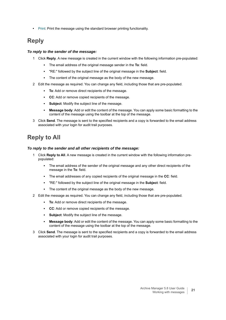**•** [Print](#page-23-3): Print the message using the standard browser printing functionality.

### <span id="page-20-0"></span>**Reply**

### *To reply to the sender of the message:*

- 1 Click **Reply**. A new message is created in the current window with the following information pre-populated:
	- **▪** The email address of the original message sender in the **To**: field.
	- **▪** "RE:" followed by the subject line of the original message in the **Subject**: field.
	- **▪** The content of the original message as the body of the new message.
- 2 Edit the message as required. You can change any field, including those that are pre-populated.
	- **To**: Add or remove direct recipients of the message.
	- **CC**: Add or remove copied recipients of the message.
	- **Subject:** Modify the subject line of the message.
	- **Message body**: Add or edit the content of the message. You can apply some basic formatting to the content of the message using the toolbar at the top of the message.
- 3 Click **Send**. The message is sent to the specified recipients and a copy is forwarded to the email address associated with your login for audit trail purposes.

### <span id="page-20-1"></span>**Reply to All**

#### *To reply to the sender and all other recipients of the message:*

- 1 Click **Reply to All**. A new message is created in the current window with the following information prepopulated:
	- **▪** The email address of the sender of the original message and any other direct recipients of the message in the **To**: field.
	- **▪** The email addresses of any copied recipients of the original message in the **CC**: field.
	- **▪** "RE:" followed by the subject line of the original message in the **Subject**: field.
	- **▪** The content of the original message as the body of the new message.
- 2 Edit the message as required. You can change any field, including those that are pre-populated.
	- **To**: Add or remove direct recipients of the message.
	- **CC**: Add or remove copied recipients of the message.
	- **Subject**: Modify the subject line of the message.
	- **Message body**: Add or edit the content of the message. You can apply some basic formatting to the content of the message using the toolbar at the top of the message.
- 3 Click **Send**. The message is sent to the specified recipients and a copy is forwarded to the email address associated with your login for audit trail purposes.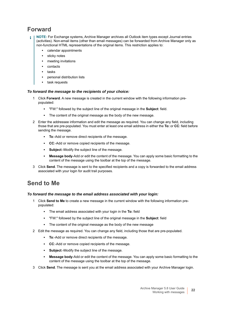### <span id="page-21-0"></span>**Forward**

- **NOTE:** For Exchange systems, Archive Manager archives all Outlook item types except Journal entries (activities). Non-email items (other than email messages) can be forwarded from Archive Manager only as non-functional HTML representations of the original items. This restriction applies to:
	- **•** calendar appointments
	- **•** sticky notes
	- **•** meeting invitations
	- **•** contacts
	- **•** tasks
	- **•** personal distribution lists
	- **•** task requests

### *To forward the message to the recipients of your choice:*

- 1 Click **Forward**. A new message is created in the current window with the following information prepopulated:
	- **▪** "FW:" followed by the subject line of the original message in the **Subject**: field.
	- **▪** The content of the original message as the body of the new message.
- 2 Enter the addressee information and edit the message as required. You can change any field, including those that are pre-populated. You must enter at least one email address in either the **To:** or **CC**: field before sending the message.
	- **To**:-Add or remove direct recipients of the message.
	- **CC**:-Add or remove copied recipients of the message.
	- **Subject**:-Modify the subject line of the message.
	- **Message body-Add or edit the content of the message. You can apply some basic formatting to the** content of the message using the toolbar at the top of the message.
- 3 Click **Send**. The message is sent to the specified recipients and a copy is forwarded to the email address associated with your login for audit trail purposes.

### <span id="page-21-1"></span>**Send to Me**

### *To forward the message to the email address associated with your login:*

- 1 Click **Send to Me** to create a new message in the current window with the following information prepopulated:
	- **▪** The email address associated with your login in the **To:** field
	- **▪** "FW:" followed by the subject line of the original message in the **Subject**: field
	- **▪** The content of the original message as the body of the new message
- 2 Edit the message as required. You can change any field, including those that are pre-populated.
	- **To**:-Add or remove direct recipients of the message.
	- **CC**:-Add or remove copied recipients of the message.
	- **Subject**:-Modify the subject line of the message.
	- **Message body**-Add or edit the content of the message. You can apply some basic formatting to the content of the message using the toolbar at the top of the message.
- 3 Click **Send**. The message is sent you at the email address associated with your Archive Manager login.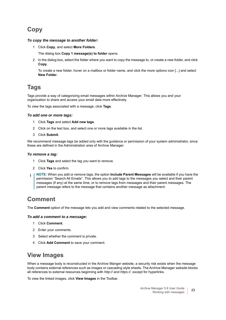### <span id="page-22-0"></span>**Copy**

### *To copy the message to another folder:*

1 Click **Copy**, and select **More Folders**.

The dialog box **Copy 1 message(s) to folder** opens.

2 In the dialog box, select the folder where you want to copy the message to, or create a new folder, and click **Copy**.

To create a new folder, hover on a mailbox or folder name, and click the more options icon [...] and select **New Folder**.

### <span id="page-22-1"></span>**Tags**

Tags provide a way of categorizing email messages within Archive Manager. This allows you and your organization to share and access your email data more effectively.

To view the tags associated with a message, click **Tags**.

### *To add one or more tags:*

- 1 Click **Tags** and select **Add new tags**.
- 2 Click on the text box, and select one or more tags available in the list.
- 3 Click **Submit**.

We recommend message tags be added only with the guidance or permission of your system administrator, since these are defined in the Administration area of Archive Manager.

### *To remove a tag:*

- 1 Click **Tags** and select the tag you want to remove.
- 2 Click **Yes** to confirm.
- **NOTE:** When you add or remove tags, the option **Include Parent Messages** will be available if you have the f permission "Search All Emails". This allows you to add tags to the messages you select and their parent messages (if any) at the same time, or to remove tags from messages and their parent messages. The parent message refers to the message that contains another message as attachment.

### <span id="page-22-2"></span>**Comment**

The **Comment** option of the message lets you add and view comments related to the selected message.

#### *To add a comment to a message:*

- 1 Click **Comment**.
- 2 Enter your comments.
- 3 Select whether the comment is private.
- 4 Click **Add Comment** to save your comment.

### <span id="page-22-3"></span>**View Images**

When a message body is reconstructed in the Archive Manger website, a security risk exists when the message body contains external references such as images or cascading style sheets. The Archive Manager website blocks all references to external resources beginning with *http://* and *https://*, except for hyperlinks.

To view the linked images, click **View Images** in the Toolbar.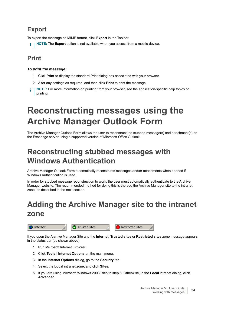### <span id="page-23-4"></span>**Export**

To export the message as MIME format, click **Export** in the Toolbar.

**NOTE:** The **Export** option is not available when you access from a mobile device. i I

### <span id="page-23-3"></span>**Print**

### *To print the message:*

- 1 Click **Print** to display the standard Print dialog box associated with your browser.
- 2 Alter any settings as required, and then click **Print** to print the message.
- **NOTE:** For more information on printing from your browser, see the application-specific help topics on i printing.

# <span id="page-23-0"></span>**Reconstructing messages using the Archive Manager Outlook Form**

The Archive Manager Outlook Form allows the user to reconstruct the stubbed message(s) and attachment(s) on the Exchange server using a supported version of Microsoft Office Outlook.

## <span id="page-23-1"></span>**Reconstructing stubbed messages with Windows Authentication**

Archive Manager Outlook Form automatically reconstructs messages and/or attachments when opened if Windows Authentication is used.

In order for stubbed message reconstruction to work, the user must automatically authenticate to the Archive Manager website. The recommended method for doing this is the add the Archive Manager site to the intranet zone, as described in the next section.

## <span id="page-23-2"></span>**Adding the Archive Manager site to the intranet zone**



If you open the Archive Manager Site and the **Internet**, **Trusted sites** or **Restricted sites** zone message appears in the status bar (as shown above):

- 1 Run Microsoft Internet Explorer.
- 2 Click **Tools | Internet Options** on the main menu.
- 3 In the **Internet Options** dialog, go to the **Security** tab.
- 4 Select the **Local** intranet zone, and click **Sites**.
- 5 If you are using Microsoft Windows 2003, skip to step 6. Otherwise, in the **Local** intranet dialog, click **Advanced**.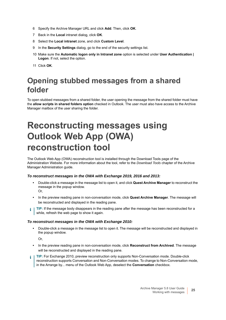- 6 Specify the Archive Manager URL and click **Add**. Then, click **OK**.
- 7 Back in the **Local** intranet dialog, click **OK**.
- 8 Select the **Local intranet** zone, and click **Custom Level**.
- 9 In the **Security Settings** dialog, go to the end of the security settings list.
- 10 Make sure the **Automatic logon only in Intranet zone** option is selected under **User Authentication | Logon**. If not, select the option.
- 11 Click **OK**.

## <span id="page-24-0"></span>**Opening stubbed messages from a shared folder**

To open stubbed messages from a shared folder, the user opening the message from the shared folder must have the **allow scripts in shared folders option** checked in Outlook. The user must also have access to the Archive Manager mailbox of the user sharing the folder.

# <span id="page-24-1"></span>**Reconstructing messages using Outlook Web App (OWA) reconstruction tool**

The Outlook Web App (OWA) reconstruction tool is installed through the Download Tools page of the Administration Website. For more information about the tool, refer to the *Download Tools* chapter of the Archive Manager Administration guide.

### *To reconstruct messages in the OWA with Exchange 2019, 2016 and 2013:*

- **•** Double-click a message in the message list to open it, and click **Quest Archive Manager** to reconstruct the message in the popup window. Or,
- **•** In the preview reading pane in non-conversation mode, click **Quest Archive Manager**. The message will be reconstructed and displayed in the reading pane.
- **TIP:** If the message body disappears in the reading pane after the message has been reconstructed for a ÷ while, refresh the web page to show it again.

#### *To reconstruct messages in the OWA with Exchange 2010:*

**•** Double-click a message in the message list to open it. The message will be reconstructed and displayed in the popup window.

Or,

- **•** In the preview reading pane in non-conversation mode, click **Reconstruct from Archived**. The message will be reconstructed and displayed in the reading pane.
- **TIP:** For Exchange 2010, preview reconstruction only supports Non-Conversation mode. Double-click ÷ reconstruction supports Conversation and Non-Conversation modes. To change to Non-Conversation mode, in the Arrange by... menu of the Outlook Web App, deselect the **Conversation** checkbox.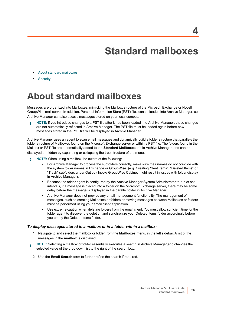<span id="page-25-2"></span>**Standard mailboxes**

- <span id="page-25-0"></span>**•** [About standard mailboxes](#page-25-1)
- **•** [Security](#page-26-0)

# <span id="page-25-1"></span>**About standard mailboxes**

Messages are organized into Mailboxes, mimicking the Mailbox structure of the Microsoft Exchange or Novell GroupWise mail server. In addition, Personal Information Store (PST) files can be loaded into Archive Manager, so Archive Manager can also access messages stored on your local computer.

**NOTE:** If you introduce changes to a PST file after it has been loaded into Archive Manager, these changes are not automatically reflected in Archive Manager. The PST file must be loaded again before new messages stored in the PST file will be displayed in Archive Manager.

Archive Manager uses an agent to scan email messages and dynamically build a folder structure that parallels the folder structure of Mailboxes found on the Microsoft Exchange server or within a PST file. The folders found in the Mailbox or PST file are automatically added to the **Standard Mailboxes** tab in Archive Manager, and can be displayed or hidden by expanding or collapsing the tree structure of the menu.

- **NOTE:** When using a mailbox, be aware of the following: ÷
	- **•** For Archive Manager to process the subfolders correctly, make sure their names do not coincide with the system folder names in Exchange or GroupWise. (e.g. Creating "Sent items", "Deleted Items" or "Trash" subfolders under Outlook Inbox/ GroupWise Cabinet might result in issues with folder display in Archive Manager).
	- **•** Because the folder agent is configured by the Archive Manager System Administrator to run at set intervals, if a message is placed into a folder on the Microsoft Exchange server, there may be some delay before the message is displayed in the parallel folder in Archive Manager.
	- **•** Archive Manager does not provide any email management functionality. The management of messages, such as creating Mailboxes or folders or moving messages between Mailboxes or folders must be performed using your email client application.
	- **•** Use extreme caution when deleting folders from the email client. You must allow sufficient time for the folder agent to discover the deletion and synchronize your Deleted Items folder accordingly before you empty the Deleted Items folder.

#### *To display messages stored in a mailbox or in a folder within a mailbox:*

- 1 Navigate to and select the m**ailbox** or folder from the **Mailboxes** menu, in the left sidebar. A list of the messages in the **mailbox** is displayed.
- **NOTE:** Selecting a mailbox or folder essentially executes a search in Archive Manager,and changes the i selected value of the drop down list to the right of the search box.
	- 2 Use the **Email Search** form to further refine the search if required.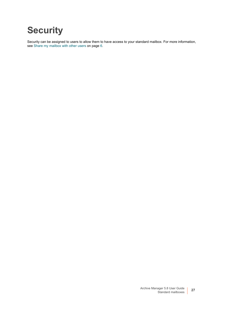# <span id="page-26-0"></span>**Security**

Security can be assigned to users to allow them to have access to your standard mailbox. [For more information,](#page-5-4)  [see Share my mailbox with other users on page 6.](#page-5-4)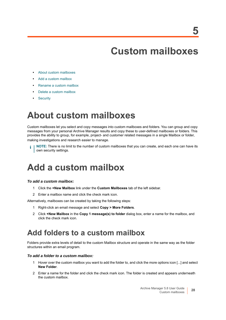# <span id="page-27-4"></span>**Custom mailboxes**

- <span id="page-27-0"></span>**•** [About custom mailboxes](#page-27-1)
- **•** [Add a custom mailbox](#page-27-2)
- **•** [Rename a custom mailbox](#page-28-0)
- **•** [Delete a custom mailbox](#page-28-1)
- **•** [Security](#page-28-2)

# <span id="page-27-1"></span>**About custom mailboxes**

Custom mailboxes let you select and copy messages into custom mailboxes and folders. You can group and copy messages from your personal Archive Manager results and copy these to user-defined mailboxes or folders. This provides the ability to group, for example, project- and customer related messages in a single Mailbox or folder, making investigations and research easier to manage.

**NOTE:** There is no limit to the number of custom mailboxes that you can create, and each one can have its i own security settings.

# <span id="page-27-2"></span>**Add a custom mailbox**

### *To add a custom mailbox:*

- 1 Click the **+New Mailbox** link under the **Custom Mailboxes** tab of the left sidebar.
- 2 Enter a mailbox name and click the check mark icon.

Alternatively, mailboxes can be created by taking the following steps:

- 1 Right-click an email message and select **Copy > More Folders**.
- 2 Click **+New Mailbox** in the **Copy 1 message(s) to folder** dialog box, enter a name for the mailbox, and click the check mark icon.

## <span id="page-27-3"></span>**Add folders to a custom mailbox**

Folders provide extra levels of detail to the custom Mailbox structure and operate in the same way as the folder structures within an email program.

### *To add a folder to a custom mailbox:*

- 1 Hover over the custom mailbox you want to add the folder to, and click the more options icon [...] and select **New Folder**.
- 2 Enter a name for the folder and click the check mark icon. The folder is created and appears underneath the custom mailbox.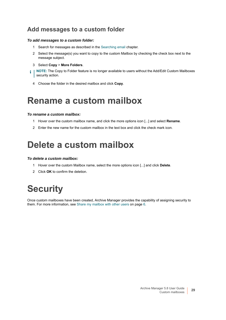### **Add messages to a custom folder**

### *To add messages to a custom folder:*

- 1 Search for messages as described in the [Searching email](#page-7-3) chapter.
- 2 Select the message(s) you want to copy to the custom Mailbox by checking the check box next to the message subject.
- 3 Select **Copy** > **More Folders**.
- **NOTE:** The Copy to Folder feature is no longer available to users without the Add/Edit Custom Mailboxes i security action.
	- 4 Choose the folder in the desired mailbox and click **Copy**.

## <span id="page-28-0"></span>**Rename a custom mailbox**

### *To rename a custom mailbox:*

- 1 Hover over the custom mailbox name, and click the more options icon [...] and select **Rename**.
- 2 Enter the new name for the custom mailbox in the text box and click the check mark icon.

## <span id="page-28-1"></span>**Delete a custom mailbox**

### *To delete a custom mailbox:*

- 1 Hover over the custom Mailbox name, select the more options icon [...] and click **Delete**.
- 2 Click **OK** to confirm the deletion.

# <span id="page-28-2"></span>**Security**

Once custom mailboxes have been created, Archive Manager provides the capability of assigning security to them. [For more information, see Share my mailbox with other users on page 6.](#page-5-4)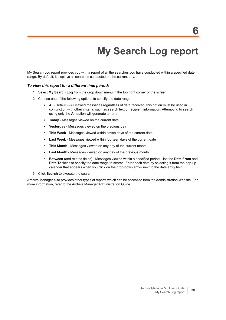# <span id="page-29-1"></span>**My Search Log report**

<span id="page-29-0"></span>My Search Log report provides you with a report of all the searches you have conducted within a specified date range. By default, it displays all searches conducted on the current day.

#### *To view this report for a different time period:*

- 1 Select **My Search Log** from the drop down menu in the top right corner of the screen.
- 2 Choose one of the following options to specify the date range:
	- **All** (Default) All viewed messages regardless of date received. This option must be used in conjunction with other criteria, such as search text or recipient information. Attempting to search using only the **All** option will generate an error.
	- **Today** Messages viewed on the current date
	- **Yesterday** Messages viewed on the previous day
	- This Week Messages viewed within seven days of the current date
	- **Last Week** Messages viewed within fourteen days of the current date
	- **This Month** Messages viewed on any day of the current month
	- **Last Month** Messages viewed on any day of the previous month
	- **Between** (and related fields) Messages viewed within a specified period. Use the **Date From** and **Date To** fields to specify the date range to search. Enter each date by selecting it from the pop-up calendar that appears when you click on the drop-down arrow next to the date entry field.
- 3 Click **Search** to execute the search.

Archive Manager also provides other types of reports which can be accessed from the Administration Website. For more information, refer to the Archive Manager Administration Guide.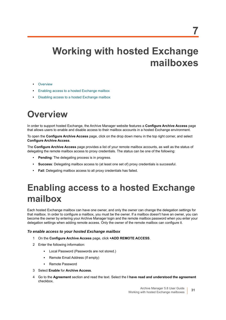# <span id="page-30-0"></span>**Working with hosted Exchange mailboxes**

- **•** [Overview](#page-30-1)
- **•** [Enabling access to a hosted Exchange mailbox](#page-30-2)
- **•** [Disabling access to a hosted Exchange mailbox](#page-31-0)

# <span id="page-30-1"></span>**Overview**

In order to support hosted Exchange, the Archive Manager website features a **Configure Archive Access** page that allows users to enable and disable access to their mailbox accounts in a hosted Exchange environment.

To open the **Configure Archive Access** page, click on the drop down menu in the top right corner, and select **Configure Archive Access**.

The **Configure Archive Access** page provides a list of your remote mailbox accounts, as well as the status of delegating the remote mailbox access to proxy credentials. The status can be one of the following:

- **Pending:** The delegating process is in progress.
- **Success**: Delegating mailbox access to (at least one set of) proxy credentials is successful.
- **Fail**: Delegating mailbox access to all proxy credentials has failed.

# <span id="page-30-2"></span>**Enabling access to a hosted Exchange mailbox**

Each hosted Exchange mailbox can have one owner, and only the owner can change the delegation settings for that mailbox. In order to configure a mailbox, you must be the owner. If a mailbox doesn't have an owner, you can become the owner by entering your Archive Manager login and the remote mailbox password when you enter your delegation settings when adding remote access. Only the owner of the remote mailbox can configure it.

### *To enable access to your hosted Exchange mailbox*

- 1 On the **Configure Archive Access** page, click **+ADD REMOTE ACCESS**.
- 2 Enter the following information:
	- **▪** Local Password (Passwords are not stored.)
	- **▪** Remote Email Address (If empty)
	- **▪** Remote Password
- 3 Select **Enable** for **Archive Access**.
- 4 Go to the **Agreement** section and read the text. Select the **I have read and understood the agreement**  checkbox.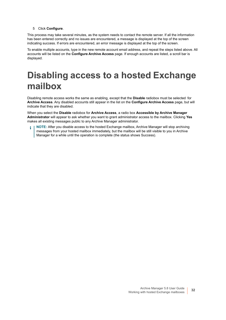#### 5 Click **Configure**.

This process may take several minutes, as the system needs to contact the remote server. If all the information has been entered correctly and no issues are encountered, a message is displayed at the top of the screen indicating success. If errors are encountered, an error message is displayed at the top of the screen.

To enable multiple accounts, type in the new remote account email address, and repeat the steps listed above. All accounts will be listed on the **Configure Archive Access** page. If enough accounts are listed, a scroll bar is displayed.

# <span id="page-31-0"></span>**Disabling access to a hosted Exchange mailbox**

Disabling remote access works the same as enabling, except that the **Disable** radiobox must be selected for **Archive Access**. Any disabled accounts still appear in the list on the **Configure Archive Access** page, but will indicate that they are disabled.

When you select the **Disable** radiobox for **Archive Access**, a radio box **Accessible by Archive Manager Administrator** will appear to ask whether you want to grant administrator access to the mailbox. Clicking **Yes** makes all existing messages public to any Archive Manager administrator.

**NOTE:** After you disable access to the hosted Exchange mailbox, Archive Manager will stop archiving messages from your hosted mailbox immediately, but the mailbox will be still visible to you in Archive Manager for a while until the operation is complete (the status shows Success).